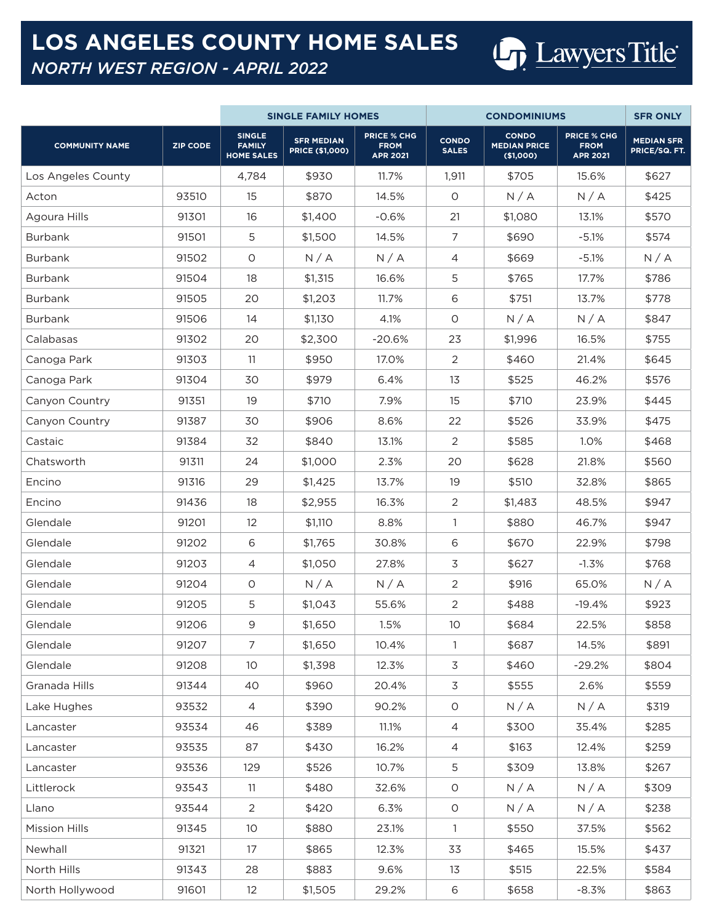## **LOS ANGELES COUNTY HOME SALES**



*NORTH WEST REGION - APRIL 2022*

|                       |                 |                                                     | <b>SINGLE FAMILY HOMES</b>                  |                                                      |                              | <b>SFR ONLY</b>                                  |                                                      |                                    |
|-----------------------|-----------------|-----------------------------------------------------|---------------------------------------------|------------------------------------------------------|------------------------------|--------------------------------------------------|------------------------------------------------------|------------------------------------|
| <b>COMMUNITY NAME</b> | <b>ZIP CODE</b> | <b>SINGLE</b><br><b>FAMILY</b><br><b>HOME SALES</b> | <b>SFR MEDIAN</b><br><b>PRICE (\$1,000)</b> | <b>PRICE % CHG</b><br><b>FROM</b><br><b>APR 2021</b> | <b>CONDO</b><br><b>SALES</b> | <b>CONDO</b><br><b>MEDIAN PRICE</b><br>(\$1,000) | <b>PRICE % CHG</b><br><b>FROM</b><br><b>APR 2021</b> | <b>MEDIAN SFR</b><br>PRICE/SQ. FT. |
| Los Angeles County    |                 | 4,784                                               | \$930                                       | 11.7%                                                | 1,911                        | \$705                                            | 15.6%                                                | \$627                              |
| Acton                 | 93510           | 15                                                  | \$870                                       | 14.5%                                                | 0                            | N/A                                              | N/A                                                  | \$425                              |
| Agoura Hills          | 91301           | 16                                                  | \$1,400                                     | $-0.6%$                                              | 21                           | \$1,080                                          | 13.1%                                                | \$570                              |
| <b>Burbank</b>        | 91501           | 5                                                   | \$1,500                                     | 14.5%                                                | $\overline{7}$               | \$690                                            | $-5.1%$                                              | \$574                              |
| <b>Burbank</b>        | 91502           | $\circ$                                             | N/A                                         | N/A                                                  | $\overline{4}$               | \$669                                            | $-5.1%$                                              | N/A                                |
| <b>Burbank</b>        | 91504           | 18                                                  | \$1,315                                     | 16.6%                                                | 5                            | \$765                                            | 17.7%                                                | \$786                              |
| <b>Burbank</b>        | 91505           | 20                                                  | \$1,203                                     | 11.7%                                                | 6                            | \$751                                            | 13.7%                                                | \$778                              |
| Burbank               | 91506           | 14                                                  | \$1,130                                     | 4.1%                                                 | O                            | N/A                                              | N/A                                                  | \$847                              |
| Calabasas             | 91302           | 20                                                  | \$2,300                                     | $-20.6%$                                             | 23                           | \$1,996                                          | 16.5%                                                | \$755                              |
| Canoga Park           | 91303           | 11                                                  | \$950                                       | 17.0%                                                | 2                            | \$460                                            | 21.4%                                                | \$645                              |
| Canoga Park           | 91304           | 30                                                  | \$979                                       | 6.4%                                                 | 13                           | \$525                                            | 46.2%                                                | \$576                              |
| Canyon Country        | 91351           | 19                                                  | \$710                                       | 7.9%                                                 | 15                           | \$710                                            | 23.9%                                                | \$445                              |
| Canyon Country        | 91387           | 30                                                  | \$906                                       | 8.6%                                                 | 22                           | \$526                                            | 33.9%                                                | \$475                              |
| Castaic               | 91384           | 32                                                  | \$840                                       | 13.1%                                                | 2                            | \$585                                            | 1.0%                                                 | \$468                              |
| Chatsworth            | 91311           | 24                                                  | \$1,000                                     | 2.3%                                                 | 20                           | \$628                                            | 21.8%                                                | \$560                              |
| Encino                | 91316           | 29                                                  | \$1,425                                     | 13.7%                                                | 19                           | \$510                                            | 32.8%                                                | \$865                              |
| Encino                | 91436           | 18                                                  | \$2,955                                     | 16.3%                                                | 2                            | \$1,483                                          | 48.5%                                                | \$947                              |
| Glendale              | 91201           | 12                                                  | \$1,110                                     | 8.8%                                                 | 1                            | \$880                                            | 46.7%                                                | \$947                              |
| Glendale              | 91202           | 6                                                   | \$1,765                                     | 30.8%                                                | 6                            | \$670                                            | 22.9%                                                | \$798                              |
| Glendale              | 91203           | 4                                                   | \$1,050                                     | 27.8%                                                | $\mathfrak{Z}$               | \$627                                            | $-1.3%$                                              | \$768                              |
| Glendale              | 91204           | $\circ$                                             | N/A                                         | N/A                                                  | 2                            | \$916                                            | 65.0%                                                | N/A                                |
| Glendale              | 91205           | 5                                                   | \$1,043                                     | 55.6%                                                | $\overline{2}$               | \$488                                            | $-19.4%$                                             | \$923                              |
| Glendale              | 91206           | $\mathsf 9$                                         | \$1,650                                     | 1.5%                                                 | 10                           | \$684                                            | 22.5%                                                | \$858                              |
| Glendale              | 91207           | $\overline{7}$                                      | \$1,650                                     | 10.4%                                                | $\mathbf{1}$                 | \$687                                            | 14.5%                                                | \$891                              |
| Glendale              | 91208           | 10 <sup>°</sup>                                     | \$1,398                                     | 12.3%                                                | 3                            | \$460                                            | $-29.2%$                                             | \$804                              |
| Granada Hills         | 91344           | 40                                                  | \$960                                       | 20.4%                                                | 3                            | \$555                                            | 2.6%                                                 | \$559                              |
| Lake Hughes           | 93532           | $\overline{4}$                                      | \$390                                       | 90.2%                                                | O                            | N/A                                              | N/A                                                  | \$319                              |
| Lancaster             | 93534           | 46                                                  | \$389                                       | 11.1%                                                | $\overline{4}$               | \$300                                            | 35.4%                                                | \$285                              |
| Lancaster             | 93535           | 87                                                  | \$430                                       | 16.2%                                                | $\overline{4}$               | \$163                                            | 12.4%                                                | \$259                              |
| Lancaster             | 93536           | 129                                                 | \$526                                       | 10.7%                                                | 5                            | \$309                                            | 13.8%                                                | \$267                              |
| Littlerock            | 93543           | 11                                                  | \$480                                       | 32.6%                                                | O                            | N/A                                              | N/A                                                  | \$309                              |
| Llano                 | 93544           | $\overline{2}$                                      | \$420                                       | 6.3%                                                 | $\circ$                      | N/A                                              | N/A                                                  | \$238                              |
| <b>Mission Hills</b>  | 91345           | 10 <sup>°</sup>                                     | \$880                                       | 23.1%                                                | $\mathbf{1}$                 | \$550                                            | 37.5%                                                | \$562                              |
| Newhall               | 91321           | 17                                                  | \$865                                       | 12.3%                                                | 33                           | \$465                                            | 15.5%                                                | \$437                              |
| North Hills           | 91343           | 28                                                  | \$883                                       | 9.6%                                                 | 13                           | \$515                                            | 22.5%                                                | \$584                              |
| North Hollywood       | 91601           | 12                                                  | \$1,505                                     | 29.2%                                                | 6                            | \$658                                            | $-8.3%$                                              | \$863                              |